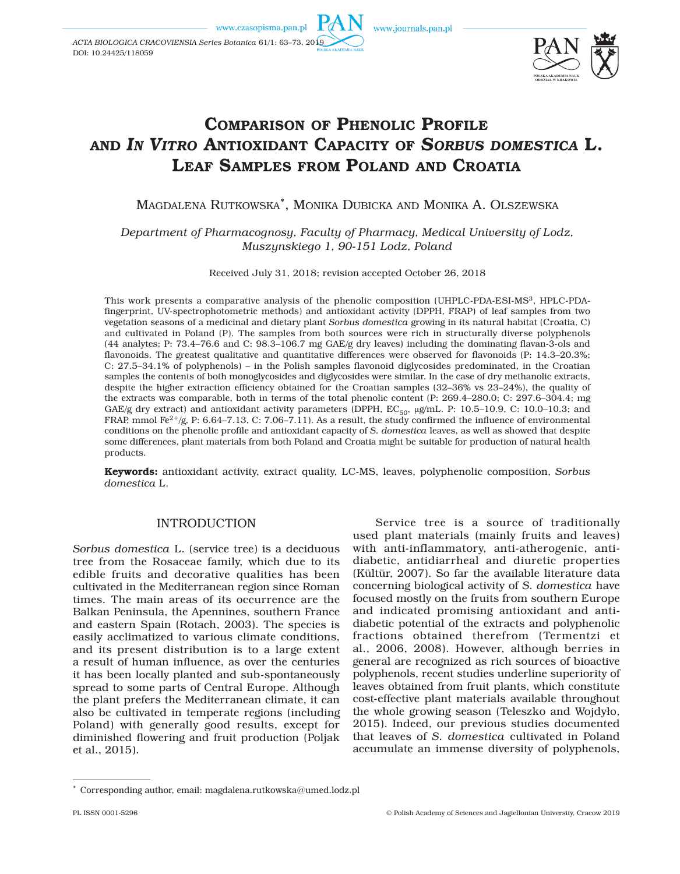www.czasopisma.pan.pl

www.journals.pan.pl



# COMPARISON OF PHENOLIC PROFILE AND *IN VITRO* ANTIOXIDANT CAPACITY OF *SORBUS DOMESTICA* L. LEAF SAMPLES FROM POLAND AND CROATIA

MAGDALENA RUTKOWSKA\*, MONIKA DUBICKA AND MONIKA A. OLSZEWSKA

*Department of Pharmacognosy, Faculty of Pharmacy, Medical University of Lodz, Muszynskiego 1, 90-151 Lodz, Poland*

Received July 31, 2018; revision accepted October 26, 2018

products. This work presents a comparative analysis of the phenolic composition (UHPLC-PDA-ESI-MS3, HPLC-PDAfingerprint, UV-spectrophotometric methods) and antioxidant activity (DPPH, FRAP) of leaf samples from two vegetation seasons of a medicinal and dietary plant *Sorbus domestica* growing in its natural habitat (Croatia, C) and cultivated in Poland (P). The samples from both sources were rich in structurally diverse polyphenols (44 analytes; P: 73.4–76.6 and C: 98.3–106.7 mg GAE/g dry leaves) including the dominating flavan-3-ols and flavonoids. The greatest qualitative and quantitative differences were observed for flavonoids (P: 14.3–20.3%; C: 27.5–34.1% of polyphenols) – in the Polish samples flavonoid diglycosides predominated, in the Croatian samples the contents of both monoglycosides and diglycosides were similar. In the case of dry methanolic extracts, despite the higher extraction efficiency obtained for the Croatian samples (32–36% vs 23–24%), the quality of the extracts was comparable, both in terms of the total phenolic content (P: 269.4–280.0; C: 297.6–304.4; mg GAE/g dry extract) and antioxidant activity parameters (DPPH,  $EC_{50}$ ,  $\mu g/mL$ . P: 10.5–10.9, C: 10.0–10.3; and FRAP, mmol Fe<sup>2+</sup>/g, P: 6.64–7.13, C: 7.06–7.11). As a result, the study confirmed the influence of environmental conditions on the phenolic profile and antioxidant capacity of *S. domestica* leaves, as well as showed that despite some differences, plant materials from both Poland and Croatia might be suitable for production of natural health

Keywords: antioxidant activity, extract quality, LC-MS, leaves, polyphenolic composition, *Sorbus domestica* L.

# INTRODUCTION

*Sorbus domestica* L. (service tree) is a deciduous tree from the Rosaceae family, which due to its edible fruits and decorative qualities has been cultivated in the Mediterranean region since Roman times. The main areas of its occurrence are the Balkan Peninsula, the Apennines, southern France and eastern Spain (Rotach, 2003). The species is easily acclimatized to various climate conditions, and its present distribution is to a large extent a result of human influence, as over the centuries it has been locally planted and sub-spontaneously spread to some parts of Central Europe. Although the plant prefers the Mediterranean climate, it can also be cultivated in temperate regions (including Poland) with generally good results, except for diminished flowering and fruit production (Poljak et al., 2015).

Service tree is a source of traditionally used plant materials (mainly fruits and leaves) with anti-inflammatory, anti-atherogenic, antidiabetic, antidiarrheal and diuretic properties (Kültür, 2007). So far the available literature data concerning biological activity of *S. domestica* have focused mostly on the fruits from southern Europe and indicated promising antioxidant and antidiabetic potential of the extracts and polyphenolic fractions obtained therefrom (Termentzi et al., 2006, 2008). However, although berries in general are recognized as rich sources of bioactive polyphenols, recent studies underline superiority of leaves obtained from fruit plants, which constitute cost-effective plant materials available throughout the whole growing season (Teleszko and Wojdyło, 2015). Indeed, our previous studies documented that leaves of *S. domestica* cultivated in Poland accumulate an immense diversity of polyphenols,

<sup>\*</sup> Corresponding author, email: magdalena.rutkowska@umed.lodz.pl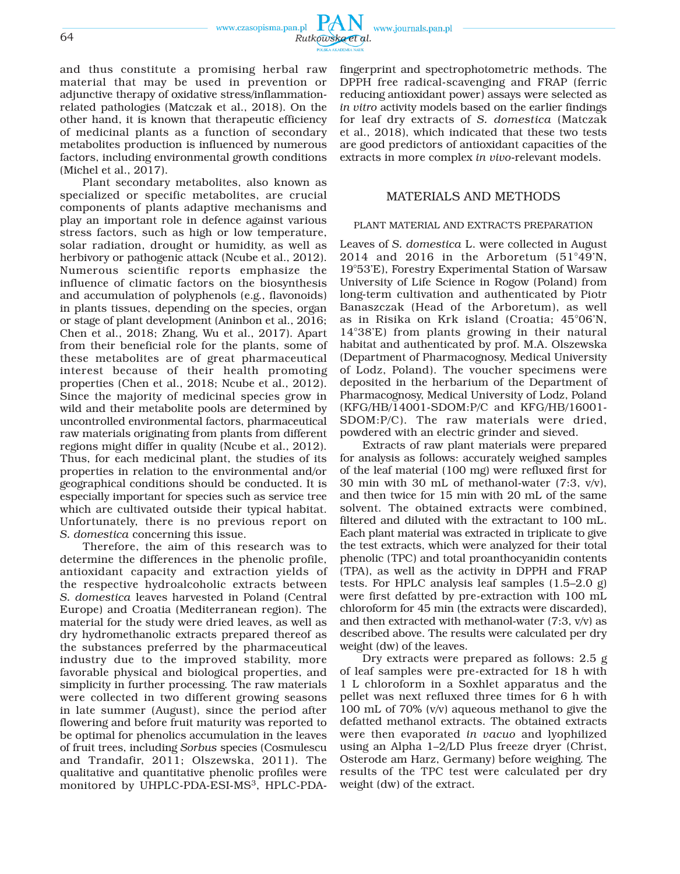

and thus constitute a promising herbal raw material that may be used in prevention or adjunctive therapy of oxidative stress/inflammationrelated pathologies (Matczak et al., 2018). On the other hand, it is known that therapeutic efficiency of medicinal plants as a function of secondary metabolites production is influenced by numerous factors, including environmental growth conditions (Michel et al., 2017).

Plant secondary metabolites, also known as specialized or specific metabolites, are crucial components of plants adaptive mechanisms and play an important role in defence against various stress factors, such as high or low temperature, solar radiation, drought or humidity, as well as herbivory or pathogenic attack (Ncube et al., 2012). Numerous scientific reports emphasize the influence of climatic factors on the biosynthesis and accumulation of polyphenols (e.g., flavonoids) in plants tissues, depending on the species, organ or stage of plant development (Aninbon et al., 2016; Chen et al., 2018; Zhang, Wu et al., 2017). Apart from their beneficial role for the plants, some of these metabolites are of great pharmaceutical interest because of their health promoting properties (Chen et al., 2018; Ncube et al., 2012). Since the majority of medicinal species grow in wild and their metabolite pools are determined by uncontrolled environmental factors, pharmaceutical raw materials originating from plants from different regions might differ in quality (Ncube et al., 2012). Thus, for each medicinal plant, the studies of its properties in relation to the environmental and/or geographical conditions should be conducted. It is especially important for species such as service tree which are cultivated outside their typical habitat. Unfortunately, there is no previous report on *S. domestica* concerning this issue.

Therefore, the aim of this research was to determine the differences in the phenolic profile, antioxidant capacity and extraction yields of the respective hydroalcoholic extracts between *S. domestica* leaves harvested in Poland (Central Europe) and Croatia (Mediterranean region). The material for the study were dried leaves, as well as dry hydromethanolic extracts prepared thereof as the substances preferred by the pharmaceutical industry due to the improved stability, more favorable physical and biological properties, and simplicity in further processing. The raw materials were collected in two different growing seasons in late summer (August), since the period after flowering and before fruit maturity was reported to be optimal for phenolics accumulation in the leaves of fruit trees, including *Sorbus* species (Cosmulescu and Trandafir, 2011; Olszewska, 2011). The qualitative and quantitative phenolic profiles were monitored by UHPLC-PDA-ESI-MS3, HPLC-PDA-

fingerprint and spectrophotometric methods. The DPPH free radical-scavenging and FRAP (ferric reducing antioxidant power) assays were selected as *in vitro* activity models based on the earlier findings for leaf dry extracts of *S. domestica* (Matczak et al., 2018), which indicated that these two tests are good predictors of antioxidant capacities of the extracts in more complex *in vivo*-relevant models.

## MATERIALS AND METHODS

## PLANT MATERIAL AND EXTRACTS PREPARATION

Leaves of *S. domestica* L. were collected in August 2014 and 2016 in the Arboretum  $(51°49'N,$ 19°53'E), Forestry Experimental Station of Warsaw University of Life Science in Rogow (Poland) from long-term cultivation and authenticated by Piotr Banaszczak (Head of the Arboretum), as well as in Risika on Krk island (Croatia; 45°06'N, 14°38'E) from plants growing in their natural habitat and authenticated by prof. M.A. Olszewska (Department of Pharmacognosy, Medical University of Lodz, Poland). The voucher specimens were deposited in the herbarium of the Department of Pharmacognosy, Medical University of Lodz, Poland (KFG/HB/14001-SDOM:P/C and KFG/HB/16001- SDOM:P/C). The raw materials were dried, powdered with an electric grinder and sieved.

Extracts of raw plant materials were prepared for analysis as follows: accurately weighed samples of the leaf material (100 mg) were refluxed first for 30 min with 30 mL of methanol-water (7:3, v/v), and then twice for 15 min with 20 mL of the same solvent. The obtained extracts were combined, filtered and diluted with the extractant to 100 mL. Each plant material was extracted in triplicate to give the test extracts, which were analyzed for their total phenolic (TPC) and total proanthocyanidin contents (TPA), as well as the activity in DPPH and FRAP tests. For HPLC analysis leaf samples (1.5–2.0 g) were first defatted by pre-extraction with 100 mL chloroform for 45 min (the extracts were discarded), and then extracted with methanol-water  $(7:3, v/v)$  as described above. The results were calculated per dry weight (dw) of the leaves.

Dry extracts were prepared as follows: 2.5 g of leaf samples were pre-extracted for 18 h with 1 L chloroform in a Soxhlet apparatus and the pellet was next refluxed three times for 6 h with 100 mL of 70% (v/v) aqueous methanol to give the defatted methanol extracts. The obtained extracts were then evaporated *in vacuo* and lyophilized using an Alpha 1–2/LD Plus freeze dryer (Christ, Osterode am Harz, Germany) before weighing. The results of the TPC test were calculated per dry weight (dw) of the extract.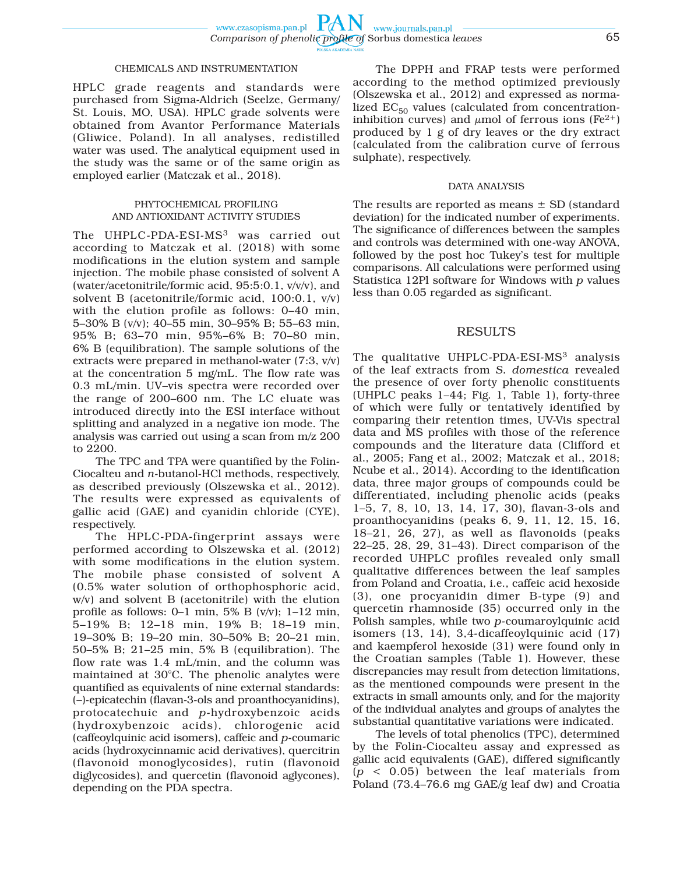### CHEMICALS AND INSTRUMENTATION

HPLC grade reagents and standards were purchased from Sigma-Aldrich (Seelze, Germany/ St. Louis, MO, USA). HPLC grade solvents were obtained from Avantor Performance Materials (Gliwice, Poland). In all analyses, redistilled water was used. The analytical equipment used in the study was the same or of the same origin as employed earlier (Matczak et al., 2018).

#### PHYTOCHEMICAL PROFILING AND ANTIOXIDANT ACTIVITY STUDIES

The UHPLC-PDA-ESI-MS<sup>3</sup> was carried out according to Matczak et al. (2018) with some modifications in the elution system and sample injection. The mobile phase consisted of solvent A (water/acetonitrile/formic acid, 95:5:0.1, v/v/v), and solvent B (acetonitrile/formic acid, 100:0.1, v/v) with the elution profile as follows: 0–40 min, 5–30% B (v/v); 40–55 min, 30–95% B; 55–63 min, 95% B; 63–70 min, 95%–6% B; 70–80 min, 6% B (equilibration). The sample solutions of the extracts were prepared in methanol-water (7:3, v/v) at the concentration 5 mg/mL. The flow rate was 0.3 mL/min. UV–vis spectra were recorded over the range of 200–600 nm. The LC eluate was introduced directly into the ESI interface without splitting and analyzed in a negative ion mode. The analysis was carried out using a scan from m/z 200 to 2200.

The TPC and TPA were quantified by the Folin-Ciocalteu and *n*-butanol-HCl methods, respectively, as described previously (Olszewska et al., 2012). The results were expressed as equivalents of gallic acid (GAE) and cyanidin chloride (CYE), respectively.

The HPLC-PDA-fingerprint assays were performed according to Olszewska et al. (2012) with some modifications in the elution system. The mobile phase consisted of solvent A (0.5% water solution of orthophosphoric acid, w/v) and solvent B (acetonitrile) with the elution profile as follows: 0–1 min, 5% B  $(v/v)$ ; 1–12 min, 5–19% B; 12–18 min, 19% B; 18–19 min, 19–30% B; 19–20 min, 30–50% B; 20–21 min, 50–5% B; 21–25 min, 5% B (equilibration). The flow rate was 1.4 mL/min, and the column was maintained at 30°C. The phenolic analytes were quantified as equivalents of nine external standards: (–)-epicatechin (flavan-3-ols and proanthocyanidins), protocatechuic and *p*-hydroxybenzoic acids (hydroxybenzoic acids), chlorogenic acid (caffeoylquinic acid isomers), caffeic and *p*-coumaric acids (hydroxycinnamic acid derivatives), quercitrin (flavonoid monoglycosides), rutin (flavonoid diglycosides), and quercetin (flavonoid aglycones), depending on the PDA spectra.

The DPPH and FRAP tests were performed according to the method optimized previously (Olszewska et al., 2012) and expressed as normalized  $EC_{50}$  values (calculated from concentrationinhibition curves) and  $\mu$ mol of ferrous ions (Fe<sup>2+</sup>) produced by 1 g of dry leaves or the dry extract (calculated from the calibration curve of ferrous sulphate), respectively.

#### DATA ANALYSIS

The results are reported as means  $\pm$  SD (standard deviation) for the indicated number of experiments. The significance of differences between the samples and controls was determined with one-way ANOVA, followed by the post hoc Tukey's test for multiple comparisons. All calculations were performed using Statistica 12Pl software for Windows with *p* values less than 0.05 regarded as significant.

#### RESULTS

The qualitative UHPLC-PDA-ESI-MS<sup>3</sup> analysis of the leaf extracts from *S. domestica* revealed the presence of over forty phenolic constituents (UHPLC peaks 1–44; Fig. 1, Table 1), forty-three of which were fully or tentatively identified by comparing their retention times, UV-Vis spectral data and MS profiles with those of the reference compounds and the literature data (Clifford et al., 2005; Fang et al., 2002; Matczak et al., 2018; Ncube et al., 2014). According to the identification data, three major groups of compounds could be differentiated, including phenolic acids (peaks 1–5, 7, 8, 10, 13, 14, 17, 30), flavan-3-ols and proanthocyanidins (peaks 6, 9, 11, 12, 15, 16, 18–21, 26, 27), as well as flavonoids (peaks 22–25, 28, 29, 31–43). Direct comparison of the recorded UHPLC profiles revealed only small qualitative differences between the leaf samples from Poland and Croatia, i.e., caffeic acid hexoside (3), one procyanidin dimer B-type (9) and quercetin rhamnoside (35) occurred only in the Polish samples, while two *p*-coumaroylquinic acid isomers (13, 14), 3,4-dicaffeoylquinic acid (17) and kaempferol hexoside (31) were found only in the Croatian samples (Table 1). However, these discrepancies may result from detection limitations, as the mentioned compounds were present in the extracts in small amounts only, and for the majority of the individual analytes and groups of analytes the substantial quantitative variations were indicated.

The levels of total phenolics (TPC), determined by the Folin-Ciocalteu assay and expressed as gallic acid equivalents (GAE), differed significantly (*p* < 0.05) between the leaf materials from Poland (73.4–76.6 mg GAE/g leaf dw) and Croatia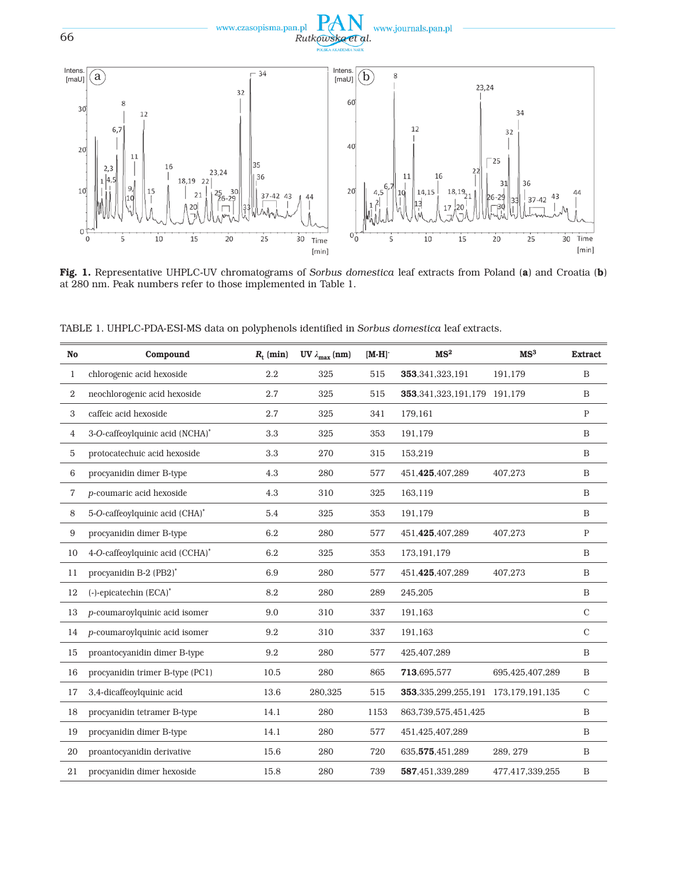



Fig. 1. Representative UHPLC-UV chromatograms of *Sorbus domestica* leaf extracts from Poland (a) and Croatia (b) at 280 nm. Peak numbers refer to those implemented in Table 1.

TABLE 1. UHPLC-PDA-ESI-MS data on polyphenols identified in *Sorbus domestica* leaf extracts.

| No             | Compound                        | $R_{\rm t}$ (min) | UV $\lambda_{\text{max}}$ (nm) | $[M-H]$ | MS <sup>2</sup>                            | MS <sup>3</sup> | <b>Extract</b> |
|----------------|---------------------------------|-------------------|--------------------------------|---------|--------------------------------------------|-----------------|----------------|
| $\mathbf{1}$   | chlorogenic acid hexoside       | 2.2               | 325                            | 515     | 353,341,323,191                            | 191,179         | B              |
| 2              | neochlorogenic acid hexoside    | 2.7               | 325                            | 515     | 353, 341, 323, 191, 179 191, 179           |                 | B              |
| 3              | caffeic acid hexoside           | 2.7               | 325                            | 341     | 179,161                                    |                 | $\mathbf P$    |
| 4              | 3-O-caffeoylquinic acid (NCHA)* | 3.3               | 325                            | 353     | 191,179                                    |                 | B              |
| 5              | protocatechuic acid hexoside    | 3.3               | 270                            | 315     | 153,219                                    |                 | B              |
| 6              | procyanidin dimer B-type        | 4.3               | 280                            | 577     | 451.425.407.289                            | 407.273         | B              |
| $\overline{7}$ | p-coumaric acid hexoside        | 4.3               | 310                            | 325     | 163,119                                    |                 | B              |
| 8              | 5-O-caffeoylquinic acid (CHA)*  | 5.4               | 325                            | 353     | 191,179                                    |                 | B              |
| 9              | procyanidin dimer B-type        | 6.2               | 280                            | 577     | 451,425,407,289                            | 407.273         | $\mathbf P$    |
| 10             | 4-O-caffeoylquinic acid (CCHA)* | 6.2               | 325                            | 353     | 173, 191, 179                              |                 | B              |
| 11             | procyanidin B-2 (PB2)*          | 6.9               | 280                            | 577     | 451,425,407,289                            | 407,273         | B              |
| 12             | $(-)$ -epicatechin $(ECA)^*$    | 8.2               | 280                            | 289     | 245,205                                    |                 | B              |
| 13             | p-coumaroylquinic acid isomer   | 9.0               | 310                            | 337     | 191,163                                    |                 | $\mathcal{C}$  |
| 14             | p-coumaroylquinic acid isomer   | 9.2               | 310                            | 337     | 191,163                                    |                 | $\mathcal{C}$  |
| 15             | proantocyanidin dimer B-type    | 9.2               | 280                            | 577     | 425,407,289                                |                 | B              |
| 16             | procyanidin trimer B-type (PC1) | 10.5              | 280                            | 865     | 713,695,577                                | 695,425,407,289 | B              |
| 17             | 3,4-dicaffeoylquinic acid       | 13.6              | 280,325                        | 515     | 353, 335, 299, 255, 191 173, 179, 191, 135 |                 | $\mathbf C$    |
| 18             | procyanidin tetramer B-type     | 14.1              | 280                            | 1153    | 863,739,575,451,425                        |                 | B              |
| 19             | procyanidin dimer B-type        | 14.1              | 280                            | 577     | 451,425,407,289                            |                 | B              |
| 20             | proantocyanidin derivative      | 15.6              | 280                            | 720     | 635, 575, 451, 289                         | 289, 279        | B              |
| 21             | procyanidin dimer hexoside      | 15.8              | 280                            | 739     | 587,451,339,289                            | 477,417,339,255 | B              |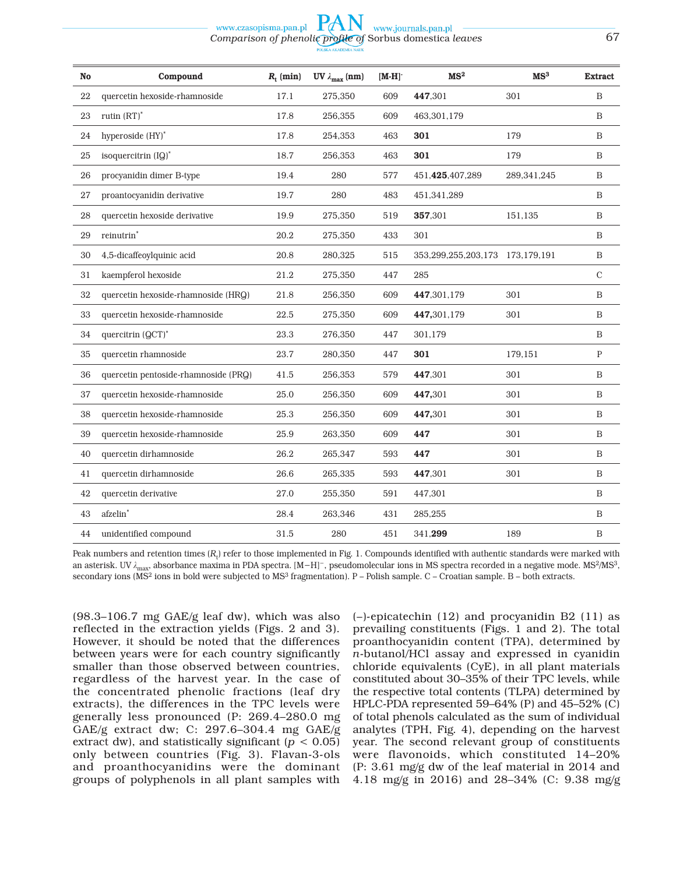#### www.czasopisma.pan.pl www.journals.pan.pl *Comparison of phenolic profile of* Sorbus domestica *leaves* 67

| <b>No</b> | Compound                             | $R_{t}$ (min) | UV $\lambda_{\text{max}}$ (nm) | $[M-H]$ | MS <sup>2</sup>                       | MS <sup>3</sup> | <b>Extract</b> |
|-----------|--------------------------------------|---------------|--------------------------------|---------|---------------------------------------|-----------------|----------------|
| 22        | quercetin hexoside-rhamnoside        | 17.1          | 275.350                        | 609     | 447,301                               | 301             | B              |
| 23        | rutin $(RT)^*$                       | 17.8          | 256.355                        | 609     | 463,301,179                           |                 | $\mathbf B$    |
| 24        | hyperoside (HY)*                     | 17.8          | 254,353                        | 463     | 301                                   | 179             | $\, {\bf B}$   |
| 25        | isoquercitrin (IQ)*                  | 18.7          | 256.353                        | 463     | 301                                   | 179             | B              |
| 26        | procyanidin dimer B-type             | 19.4          | 280                            | 577     | 451,425,407,289                       | 289,341,245     | $\mathbf B$    |
| 27        | proantocyanidin derivative           | 19.7          | 280                            | 483     | 451,341,289                           |                 | B              |
| 28        | quercetin hexoside derivative        | 19.9          | 275.350                        | 519     | 357,301                               | 151.135         | B              |
| 29        | reinutrin <sup>*</sup>               | 20.2          | 275,350                        | 433     | 301                                   |                 | B              |
| 30        | 4,5-dicaffeoylquinic acid            | 20.8          | 280.325                        | 515     | 353, 299, 255, 203, 173 173, 179, 191 |                 | $\mathbf B$    |
| 31        | kaempferol hexoside                  | 21.2          | 275.350                        | 447     | 285                                   |                 | $\mathcal{C}$  |
| 32        | quercetin hexoside-rhamnoside (HRQ)  | 21.8          | 256,350                        | 609     | 447,301,179                           | 301             | $\mathbf B$    |
| 33        | quercetin hexoside-rhamnoside        | 22.5          | 275,350                        | 609     | 447,301,179                           | 301             | $\mathbf B$    |
| 34        | quercitrin (QCT)*                    | 23.3          | 276.350                        | 447     | 301.179                               |                 | $\mathbf B$    |
| 35        | quercetin rhamnoside                 | 23.7          | 280,350                        | 447     | 301                                   | 179,151         | $\mathbf{P}$   |
| 36        | quercetin pentoside-rhamnoside (PRQ) | 41.5          | 256,353                        | 579     | 447,301                               | 301             | $\mathbf B$    |
| 37        | quercetin hexoside-rhamnoside        | 25.0          | 256.350                        | 609     | 447,301                               | 301             | $\mathbf B$    |
| 38        | quercetin hexoside-rhamnoside        | 25.3          | 256,350                        | 609     | 447,301                               | 301             | $\mathbf B$    |
| 39        | quercetin hexoside-rhamnoside        | 25.9          | 263.350                        | 609     | 447                                   | 301             | B              |
| 40        | quercetin dirhamnoside               | 26.2          | 265,347                        | 593     | 447                                   | 301             | B              |
| 41        | quercetin dirhamnoside               | 26.6          | 265,335                        | 593     | 447,301                               | 301             | $\, {\bf B}$   |
| 42        | quercetin derivative                 | 27.0          | 255,350                        | 591     | 447,301                               |                 | B              |
| 43        | afzelin*                             | 28.4          | 263,346                        | 431     | 285,255                               |                 | B              |
| 44        | unidentified compound                | 31.5          | 280                            | 451     | 341,299                               | 189             | $\, {\bf B}$   |

Peak numbers and retention times (R<sub>t</sub>) refer to those implemented in Fig. 1. Compounds identified with authentic standards were marked with an asterisk. UV *λ*<sub>max</sub>, absorbance maxima in PDA spectra. [M−H]<sup>-</sup>, pseudomolecular ions in MS spectra recorded in a negative mode. MS<sup>2</sup>/MS<sup>3</sup>, secondary ions (MS<sup>2</sup> ions in bold were subjected to MS<sup>3</sup> fragmentation). P – Polish sample. C – Croatian sample. B – both extracts.

(98.3–106.7 mg GAE/g leaf dw), which was also reflected in the extraction yields (Figs. 2 and 3). However, it should be noted that the differences between years were for each country significantly smaller than those observed between countries, regardless of the harvest year. In the case of the concentrated phenolic fractions (leaf dry extracts), the differences in the TPC levels were generally less pronounced (P: 269.4–280.0 mg GAE/g extract dw; C: 297.6–304.4 mg GAE/g extract dw), and statistically significant ( $p < 0.05$ ) only between countries (Fig. 3). Flavan-3-ols and proanthocyanidins were the dominant groups of polyphenols in all plant samples with

(–)-epicatechin (12) and procyanidin B2 (11) as prevailing constituents (Figs. 1 and 2). The total proanthocyanidin content (TPA), determined by *n*-butanol/HCl assay and expressed in cyanidin chloride equivalents (CyE), in all plant materials constituted about 30–35% of their TPC levels, while the respective total contents (TLPA) determined by HPLC-PDA represented 59–64% (P) and 45–52% (C) of total phenols calculated as the sum of individual analytes (TPH, Fig. 4), depending on the harvest year. The second relevant group of constituents were flavonoids, which constituted 14–20% (P: 3.61 mg/g dw of the leaf material in 2014 and 4.18 mg/g in 2016) and 28–34% (C: 9.38 mg/g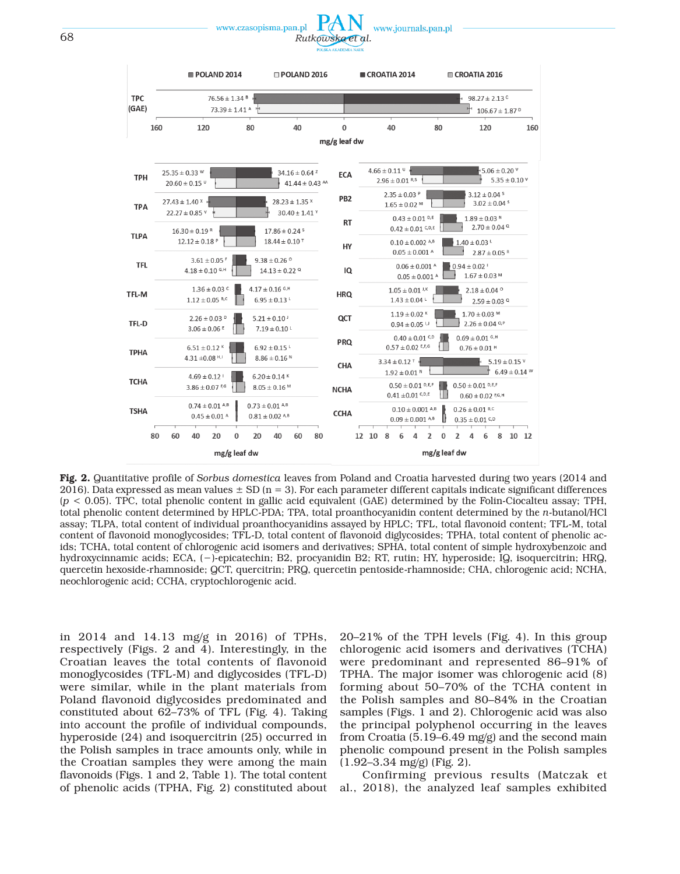



Fig. 2. Quantitative profile of *Sorbus domestica* leaves from Poland and Croatia harvested during two years (2014 and 2016). Data expressed as mean values  $\pm$  SD (n = 3). For each parameter different capitals indicate significant differences (*p* < 0.05). TPC, total phenolic content in gallic acid equivalent (GAE) determined by the Folin-Ciocalteu assay; TPH, total phenolic content determined by HPLC-PDA; TPA, total proanthocyanidin content determined by the *n*-butanol/HCl assay; TLPA, total content of individual proanthocyanidins assayed by HPLC; TFL, total flavonoid content; TFL-M, total content of flavonoid monoglycosides; TFL-D, total content of flavonoid diglycosides; TPHA, total content of phenolic acids; TCHA, total content of chlorogenic acid isomers and derivatives; SPHA, total content of simple hydroxybenzoic and hydroxycinnamic acids; ECA, (−)-epicatechin; B2, procyanidin B2; RT, rutin; HY, hyperoside; IQ, isoquercitrin; HRQ, quercetin hexoside-rhamnoside; QCT, quercitrin; PRQ, quercetin pentoside-rhamnoside; CHA, chlorogenic acid; NCHA, neochlorogenic acid; CCHA, cryptochlorogenic acid.

in 2014 and 14.13 mg/g in 2016) of TPHs, respectively (Figs. 2 and 4). Interestingly, in the Croatian leaves the total contents of flavonoid monoglycosides (TFL-M) and diglycosides (TFL-D) were similar, while in the plant materials from Poland flavonoid diglycosides predominated and constituted about 62–73% of TFL (Fig. 4). Taking into account the profile of individual compounds, hyperoside (24) and isoquercitrin (25) occurred in the Polish samples in trace amounts only, while in the Croatian samples they were among the main flavonoids (Figs. 1 and 2, Table 1). The total content of phenolic acids (TPHA, Fig. 2) constituted about 20–21% of the TPH levels (Fig. 4). In this group chlorogenic acid isomers and derivatives (TCHA) were predominant and represented 86–91% of TPHA. The major isomer was chlorogenic acid (8) forming about 50–70% of the TCHA content in the Polish samples and 80–84% in the Croatian samples (Figs. 1 and 2). Chlorogenic acid was also the principal polyphenol occurring in the leaves from Croatia (5.19–6.49 mg/g) and the second main phenolic compound present in the Polish samples (1.92–3.34 mg/g) (Fig. 2).

Confirming previous results (Matczak et al., 2018), the analyzed leaf samples exhibited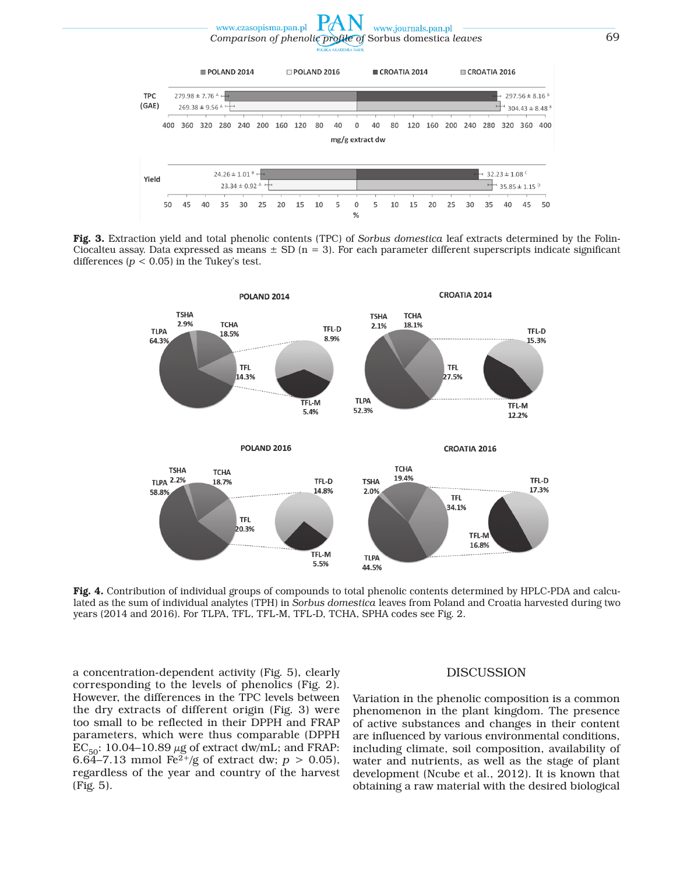*Comparison of phenolic profile of* Sorbus domestica *leaves* 69  $\Box$  POLAND 2016  $POLAND 2014$  $CROATIA 2014$  $C$ <sub>ROATIA</sub> 2016 **TPC** 279.98  $\pm$  7.76 Å  $297.56 \pm 8.16$ <sup>8</sup>  $(GAE)$  $269.38 \pm 9.56$  $304.43 \pm 8.48$ <sup>8</sup> 400 360 320 280 240 200 160 120  $40$ 120 160 200 240 280  $80$  $\Omega$ 40  $80$ 320 360 400 mg/g extract dw  $24.26 \pm 1.01$  $32.23 \pm 1.08$ Nield  $23.34 \pm 0.92$  $35.85\pm1.15$   $^{\circ}$ 25 20 15 10  $\Omega$ 10 15 20 35 40 45 50 45 40 35 30 5 5 25 30 50  $\frac{0}{c}$ 

www.journals.pan.pl

www.czasopisma.pan.pl

Fig. 3. Extraction yield and total phenolic contents (TPC) of *Sorbus domestica* leaf extracts determined by the Folin-Ciocalteu assay. Data expressed as means  $\pm$  SD (n = 3). For each parameter different superscripts indicate significant differences  $(p < 0.05)$  in the Tukey's test.



Fig. 4. Contribution of individual groups of compounds to total phenolic contents determined by HPLC-PDA and calculated as the sum of individual analytes (TPH) in *Sorbus domestica* leaves from Poland and Croatia harvested during two years (2014 and 2016). For TLPA, TFL, TFL-M, TFL-D, TCHA, SPHA codes see Fig. 2.

a concentration-dependent activity (Fig. 5), clearly corresponding to the levels of phenolics (Fig. 2). However, the differences in the TPC levels between the dry extracts of different origin (Fig. 3) were too small to be reflected in their DPPH and FRAP parameters, which were thus comparable (DPPH  $EC_{50}$ : 10.04–10.89  $\mu$ g of extract dw/mL; and FRAP: 6.64–7.13 mmol Fe<sup>2+</sup>/g of extract dw;  $p > 0.05$ ), regardless of the year and country of the harvest (Fig. 5).

#### DISCUSSION

Variation in the phenolic composition is a common phenomenon in the plant kingdom. The presence of active substances and changes in their content are influenced by various environmental conditions, including climate, soil composition, availability of water and nutrients, as well as the stage of plant development (Ncube et al., 2012). It is known that obtaining a raw material with the desired biological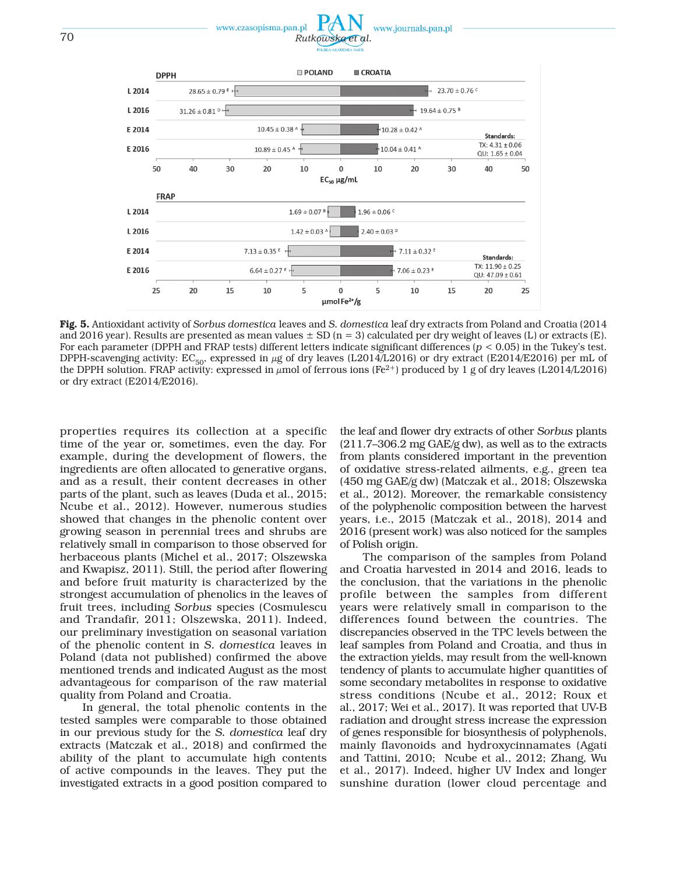



Fig. 5. Antioxidant activity of *Sorbus domestica* leaves and *S. domestica* leaf dry extracts from Poland and Croatia (2014 and 2016 year). Results are presented as mean values  $\pm$  SD (n = 3) calculated per dry weight of leaves (L) or extracts (E). For each parameter (DPPH and FRAP tests) different letters indicate significant differences (*p* < 0.05) in the Tukey's test. DPPH-scavenging activity:  $EC_{50}$ , expressed in  $\mu$ g of dry leaves (L2014/L2016) or dry extract (E2014/E2016) per mL of the DPPH solution. FRAP activity: expressed in  $\mu$ mol of ferrous ions (Fe<sup>2+</sup>) produced by 1 g of dry leaves (L2014/L2016) or dry extract (E2014/E2016).

properties requires its collection at a specific time of the year or, sometimes, even the day. For example, during the development of flowers, the ingredients are often allocated to generative organs, and as a result, their content decreases in other parts of the plant, such as leaves (Duda et al., 2015; Ncube et al., 2012). However, numerous studies showed that changes in the phenolic content over growing season in perennial trees and shrubs are relatively small in comparison to those observed for herbaceous plants (Michel et al., 2017; Olszewska and Kwapisz, 2011). Still, the period after flowering and before fruit maturity is characterized by the strongest accumulation of phenolics in the leaves of fruit trees, including *Sorbus* species (Cosmulescu and Trandafir, 2011; Olszewska, 2011). Indeed, our preliminary investigation on seasonal variation of the phenolic content in *S. domestica* leaves in Poland (data not published) confirmed the above mentioned trends and indicated August as the most advantageous for comparison of the raw material quality from Poland and Croatia.

In general, the total phenolic contents in the tested samples were comparable to those obtained in our previous study for the *S. domestica* leaf dry extracts (Matczak et al., 2018) and confirmed the ability of the plant to accumulate high contents of active compounds in the leaves. They put the investigated extracts in a good position compared to the leaf and flower dry extracts of other *Sorbus* plants  $(211.7–306.2 \text{ mg} \text{ GAE/g} \text{ dw})$ , as well as to the extracts from plants considered important in the prevention of oxidative stress-related ailments, e.g., green tea (450 mg GAE/g dw) (Matczak et al., 2018; Olszewska et al., 2012). Moreover, the remarkable consistency of the polyphenolic composition between the harvest years, i.e., 2015 (Matczak et al., 2018), 2014 and 2016 (present work) was also noticed for the samples of Polish origin.

The comparison of the samples from Poland and Croatia harvested in 2014 and 2016, leads to the conclusion, that the variations in the phenolic profile between the samples from different years were relatively small in comparison to the differences found between the countries. The discrepancies observed in the TPC levels between the leaf samples from Poland and Croatia, and thus in the extraction yields, may result from the well-known tendency of plants to accumulate higher quantities of some secondary metabolites in response to oxidative stress conditions (Ncube et al., 2012; Roux et al., 2017; Wei et al., 2017). It was reported that UV-B radiation and drought stress increase the expression of genes responsible for biosynthesis of polyphenols, mainly flavonoids and hydroxycinnamates (Agati and Tattini, 2010; Ncube et al., 2012; Zhang, Wu et al., 2017). Indeed, higher UV Index and longer sunshine duration (lower cloud percentage and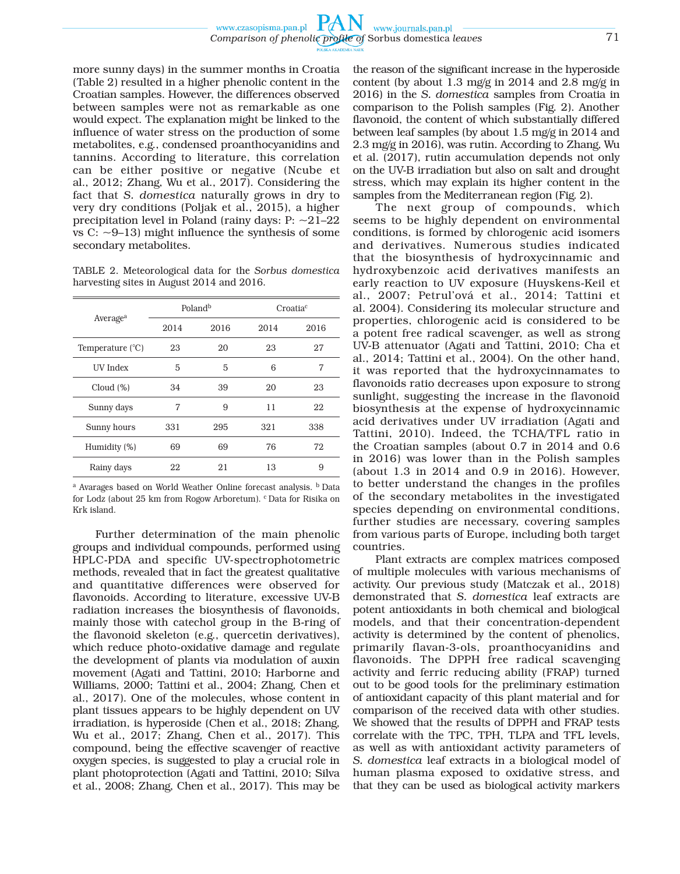more sunny days) in the summer months in Croatia (Table 2) resulted in a higher phenolic content in the Croatian samples. However, the differences observed between samples were not as remarkable as one would expect. The explanation might be linked to the influence of water stress on the production of some metabolites, e.g., condensed proanthocyanidins and tannins. According to literature, this correlation can be either positive or negative (Ncube et al., 2012; Zhang, Wu et al., 2017). Considering the fact that *S. domestica* naturally grows in dry to very dry conditions (Poljak et al., 2015), a higher precipitation level in Poland (rainy days:  $P: ~21–22$ vs C:  $\sim$ 9–13) might influence the synthesis of some secondary metabolites.

TABLE 2. Meteorological data for the *Sorbus domestica* harvesting sites in August 2014 and 2016.

|                           |      | Poland <sup>b</sup> | Croatia <sup>c</sup> |      |  |
|---------------------------|------|---------------------|----------------------|------|--|
| Average <sup>a</sup>      | 2014 | 2016                | 2014                 | 2016 |  |
| Temperature $(^{\circ}C)$ | 23   | 20                  | 23                   | 27   |  |
| UV Index                  | 5    | 5                   | 6                    | 7    |  |
| Cloud $(\%)$              | 34   | 39                  | 20                   | 23   |  |
| Sunny days                | 7    | 9                   | 11                   | 22   |  |
| Sunny hours               | 331  | 295                 | 321                  | 338  |  |
| Humidity (%)              | 69   | 69                  | 76                   | 72   |  |
| Rainy days                | 22   | 21                  | 13                   | 9    |  |

a Avarages based on World Weather Online forecast analysis. b Data for Lodz (about 25 km from Rogow Arboretum). <sup>c</sup> Data for Risika on Krk island.

Further determination of the main phenolic groups and individual compounds, performed using HPLC-PDA and specific UV-spectrophotometric methods, revealed that in fact the greatest qualitative and quantitative differences were observed for flavonoids. According to literature, excessive UV-B radiation increases the biosynthesis of flavonoids, mainly those with catechol group in the B-ring of the flavonoid skeleton (e.g., quercetin derivatives), which reduce photo-oxidative damage and regulate the development of plants via modulation of auxin movement (Agati and Tattini, 2010; Harborne and Williams, 2000; Tattini et al., 2004; Zhang, Chen et al., 2017). One of the molecules, whose content in plant tissues appears to be highly dependent on UV irradiation, is hyperoside (Chen et al., 2018; Zhang, Wu et al., 2017; Zhang, Chen et al., 2017). This compound, being the effective scavenger of reactive oxygen species, is suggested to play a crucial role in plant photoprotection (Agati and Tattini, 2010; Silva et al., 2008; Zhang, Chen et al., 2017). This may be

the reason of the significant increase in the hyperoside content (by about 1.3 mg/g in 2014 and 2.8 mg/g in 2016) in the *S. domestica* samples from Croatia in comparison to the Polish samples (Fig. 2). Another flavonoid, the content of which substantially differed between leaf samples (by about 1.5 mg/g in 2014 and 2.3 mg/g in 2016), was rutin. According to Zhang, Wu et al. (2017), rutin accumulation depends not only on the UV-B irradiation but also on salt and drought stress, which may explain its higher content in the samples from the Mediterranean region (Fig. 2).

The next group of compounds, which seems to be highly dependent on environmental conditions, is formed by chlorogenic acid isomers and derivatives. Numerous studies indicated that the biosynthesis of hydroxycinnamic and hydroxybenzoic acid derivatives manifests an early reaction to UV exposure (Huyskens-Keil et al., 2007; Petrul'ová et al., 2014; Tattini et al. 2004). Considering its molecular structure and properties, chlorogenic acid is considered to be a potent free radical scavenger, as well as strong UV-B attenuator (Agati and Tattini, 2010; Cha et al., 2014; Tattini et al., 2004). On the other hand, it was reported that the hydroxycinnamates to flavonoids ratio decreases upon exposure to strong sunlight, suggesting the increase in the flavonoid biosynthesis at the expense of hydroxycinnamic acid derivatives under UV irradiation (Agati and Tattini, 2010). Indeed, the TCHA/TFL ratio in the Croatian samples (about 0.7 in 2014 and 0.6 in 2016) was lower than in the Polish samples (about 1.3 in 2014 and 0.9 in 2016). However, to better understand the changes in the profiles of the secondary metabolites in the investigated species depending on environmental conditions, further studies are necessary, covering samples from various parts of Europe, including both target countries.

Plant extracts are complex matrices composed of multiple molecules with various mechanisms of activity. Our previous study (Matczak et al., 2018) demonstrated that *S. domestica* leaf extracts are potent antioxidants in both chemical and biological models, and that their concentration-dependent activity is determined by the content of phenolics, primarily flavan-3-ols, proanthocyanidins and flavonoids. The DPPH free radical scavenging activity and ferric reducing ability (FRAP) turned out to be good tools for the preliminary estimation of antioxidant capacity of this plant material and for comparison of the received data with other studies. We showed that the results of DPPH and FRAP tests correlate with the TPC, TPH, TLPA and TFL levels, as well as with antioxidant activity parameters of *S. domestica* leaf extracts in a biological model of human plasma exposed to oxidative stress, and that they can be used as biological activity markers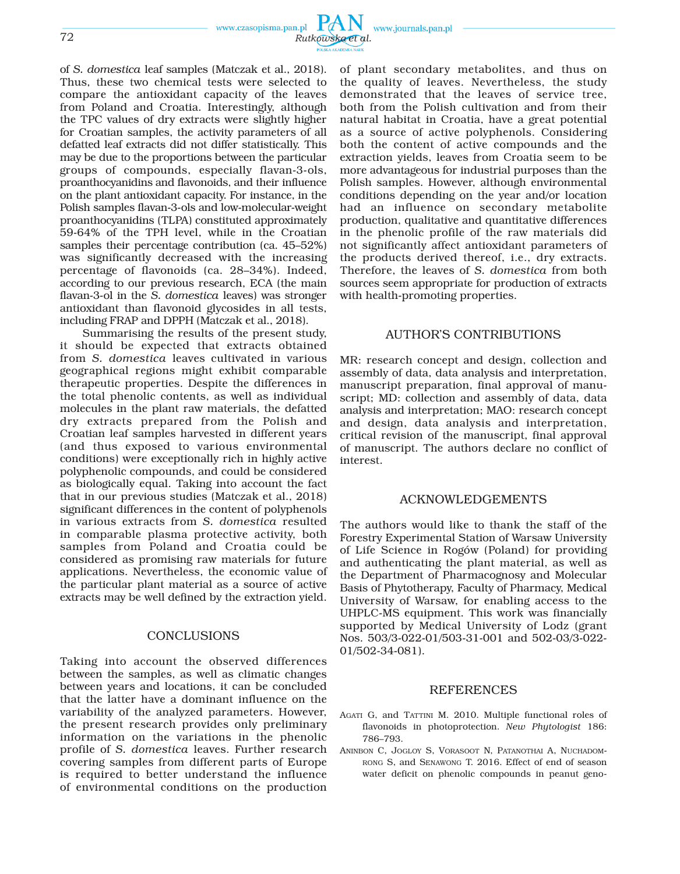www.czasopisma.pan.pl www.journals.pan.pl 72 *Rutkowska et al.*

of *S. domestica* leaf samples (Matczak et al., 2018). Thus, these two chemical tests were selected to compare the antioxidant capacity of the leaves from Poland and Croatia. Interestingly, although the TPC values of dry extracts were slightly higher for Croatian samples, the activity parameters of all defatted leaf extracts did not differ statistically. This may be due to the proportions between the particular groups of compounds, especially flavan-3-ols, proanthocyanidins and flavonoids, and their influence on the plant antioxidant capacity. For instance, in the Polish samples flavan-3-ols and low-molecular-weight proanthocyanidins (TLPA) constituted approximately 59-64% of the TPH level, while in the Croatian samples their percentage contribution (ca. 45–52%) was significantly decreased with the increasing percentage of flavonoids (ca. 28–34%). Indeed, according to our previous research, ECA (the main flavan-3-ol in the *S. domestica* leaves) was stronger antioxidant than flavonoid glycosides in all tests, including FRAP and DPPH (Matczak et al., 2018).

Summarising the results of the present study, it should be expected that extracts obtained from *S. domestica* leaves cultivated in various geographical regions might exhibit comparable therapeutic properties. Despite the differences in the total phenolic contents, as well as individual molecules in the plant raw materials, the defatted dry extracts prepared from the Polish and Croatian leaf samples harvested in different years (and thus exposed to various environmental conditions) were exceptionally rich in highly active polyphenolic compounds, and could be considered as biologically equal. Taking into account the fact that in our previous studies (Matczak et al., 2018) significant differences in the content of polyphenols in various extracts from *S. domestica* resulted in comparable plasma protective activity, both samples from Poland and Croatia could be considered as promising raw materials for future applications. Nevertheless, the economic value of the particular plant material as a source of active extracts may be well defined by the extraction yield.

# **CONCLUSIONS**

Taking into account the observed differences between the samples, as well as climatic changes between years and locations, it can be concluded that the latter have a dominant influence on the variability of the analyzed parameters. However, the present research provides only preliminary information on the variations in the phenolic profile of *S. domestica* leaves. Further research covering samples from different parts of Europe is required to better understand the influence of environmental conditions on the production of plant secondary metabolites, and thus on the quality of leaves. Nevertheless, the study demonstrated that the leaves of service tree, both from the Polish cultivation and from their natural habitat in Croatia, have a great potential as a source of active polyphenols. Considering both the content of active compounds and the extraction yields, leaves from Croatia seem to be more advantageous for industrial purposes than the Polish samples. However, although environmental conditions depending on the year and/or location had an influence on secondary metabolite production, qualitative and quantitative differences in the phenolic profile of the raw materials did not significantly affect antioxidant parameters of the products derived thereof, i.e., dry extracts. Therefore, the leaves of *S. domestica* from both sources seem appropriate for production of extracts with health-promoting properties.

# AUTHOR'S CONTRIBUTIONS

MR: research concept and design, collection and assembly of data, data analysis and interpretation, manuscript preparation, final approval of manuscript; MD: collection and assembly of data, data analysis and interpretation; MAO: research concept and design, data analysis and interpretation, critical revision of the manuscript, final approval of manuscript. The authors declare no conflict of interest.

## ACKNOWLEDGEMENTS

The authors would like to thank the staff of the Forestry Experimental Station of Warsaw University of Life Science in Rogów (Poland) for providing and authenticating the plant material, as well as the Department of Pharmacognosy and Molecular Basis of Phytotherapy, Faculty of Pharmacy, Medical University of Warsaw, for enabling access to the UHPLC-MS equipment. This work was financially supported by Medical University of Lodz (grant Nos. 503/3-022-01/503-31-001 and 502-03/3-022- 01/502-34-081).

## REFERENCES

- AGATI G, and TATTINI M. 2010. Multiple functional roles of flavonoids in photoprotection. *New Phytologist* 186: 786–793.
- ANINBON C, JOGLOY S, VORASOOT N, PATANOTHAI A, NUCHADOM-RONG S, and SENAWONG T. 2016. Effect of end of season water deficit on phenolic compounds in peanut geno-